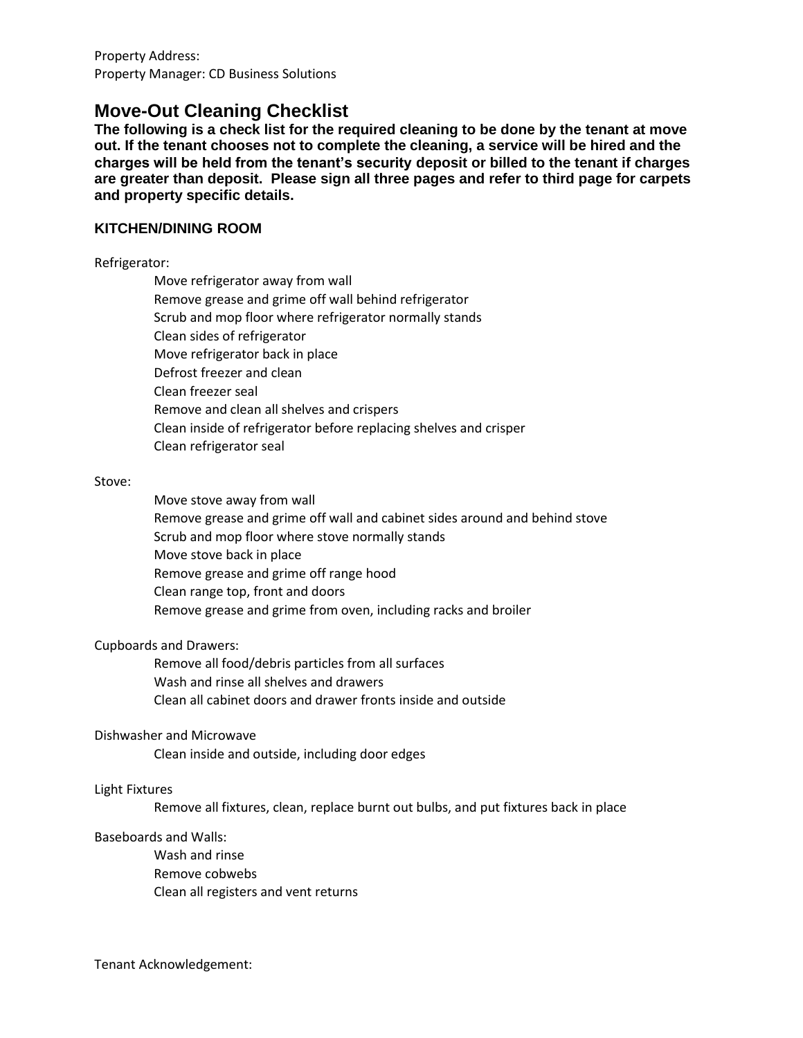Property Address: Property Manager: CD Business Solutions

# **Move-Out Cleaning Checklist**

**The following is a check list for the required cleaning to be done by the tenant at move out. If the tenant chooses not to complete the cleaning, a service will be hired and the charges will be held from the tenant's security deposit or billed to the tenant if charges are greater than deposit. Please sign all three pages and refer to third page for carpets and property specific details.**

## **KITCHEN/DINING ROOM**

Refrigerator:

Move refrigerator away from wall Remove grease and grime off wall behind refrigerator Scrub and mop floor where refrigerator normally stands Clean sides of refrigerator Move refrigerator back in place Defrost freezer and clean Clean freezer seal Remove and clean all shelves and crispers Clean inside of refrigerator before replacing shelves and crisper Clean refrigerator seal

#### Stove:

Move stove away from wall Remove grease and grime off wall and cabinet sides around and behind stove Scrub and mop floor where stove normally stands Move stove back in place Remove grease and grime off range hood Clean range top, front and doors Remove grease and grime from oven, including racks and broiler

#### Cupboards and Drawers:

Remove all food/debris particles from all surfaces Wash and rinse all shelves and drawers Clean all cabinet doors and drawer fronts inside and outside

#### Dishwasher and Microwave

Clean inside and outside, including door edges

#### Light Fixtures

Remove all fixtures, clean, replace burnt out bulbs, and put fixtures back in place

#### Baseboards and Walls:

Wash and rinse Remove cobwebs Clean all registers and vent returns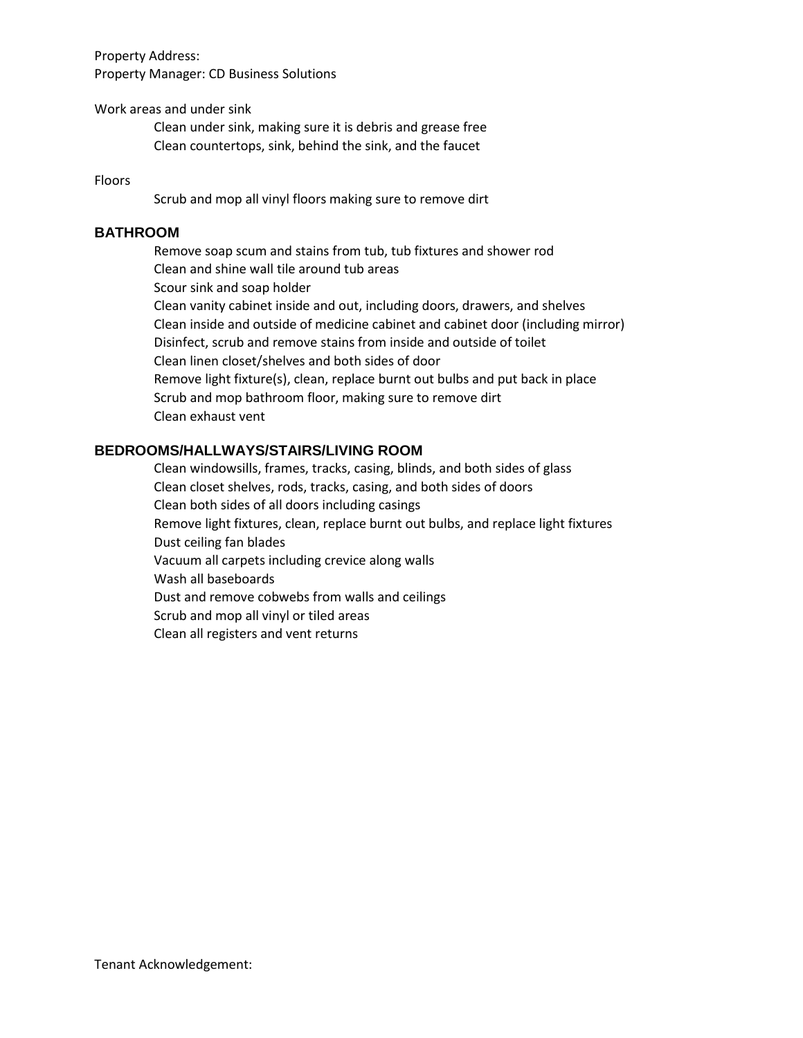Property Address: Property Manager: CD Business Solutions

Work areas and under sink

Clean under sink, making sure it is debris and grease free Clean countertops, sink, behind the sink, and the faucet

#### Floors

Scrub and mop all vinyl floors making sure to remove dirt

### **BATHROOM**

Remove soap scum and stains from tub, tub fixtures and shower rod Clean and shine wall tile around tub areas Scour sink and soap holder Clean vanity cabinet inside and out, including doors, drawers, and shelves Clean inside and outside of medicine cabinet and cabinet door (including mirror) Disinfect, scrub and remove stains from inside and outside of toilet Clean linen closet/shelves and both sides of door Remove light fixture(s), clean, replace burnt out bulbs and put back in place Scrub and mop bathroom floor, making sure to remove dirt Clean exhaust vent

## **BEDROOMS/HALLWAYS/STAIRS/LIVING ROOM**

Clean windowsills, frames, tracks, casing, blinds, and both sides of glass Clean closet shelves, rods, tracks, casing, and both sides of doors Clean both sides of all doors including casings Remove light fixtures, clean, replace burnt out bulbs, and replace light fixtures Dust ceiling fan blades Vacuum all carpets including crevice along walls Wash all baseboards Dust and remove cobwebs from walls and ceilings Scrub and mop all vinyl or tiled areas Clean all registers and vent returns